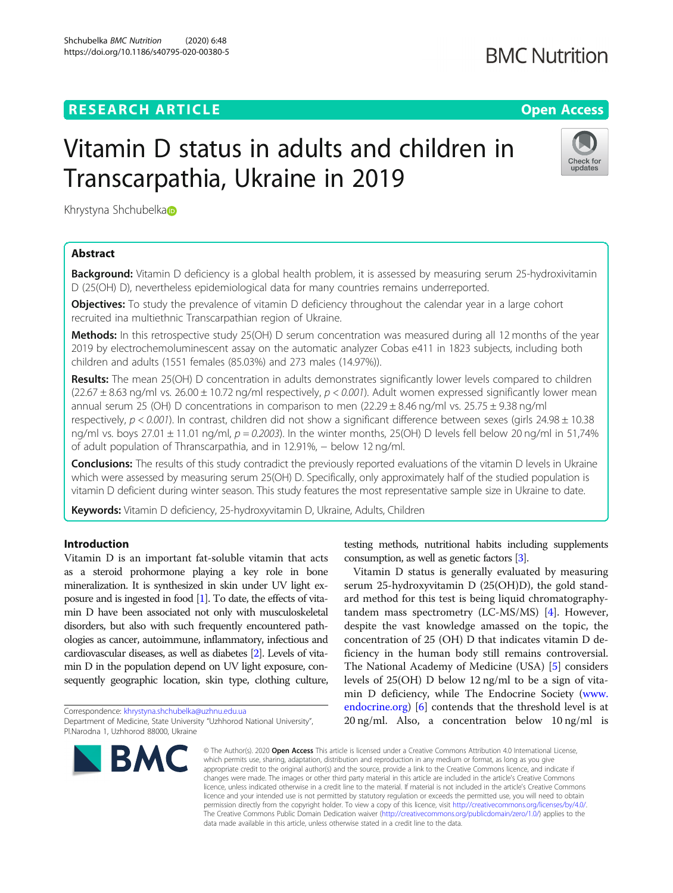# **RESEARCH ARTICLE Example 2014 12:30 The Contract of Contract ACCESS**

# Vitamin D status in adults and children in Transcarpathia, Ukraine in 2019

Khrystyna Shchubelka

## Abstract

Background: Vitamin D deficiency is a global health problem, it is assessed by measuring serum 25-hydroxivitamin D (25(OH) D), nevertheless epidemiological data for many countries remains underreported.

**Objectives:** To study the prevalence of vitamin D deficiency throughout the calendar year in a large cohort recruited ina multiethnic Transcarpathian region of Ukraine.

Methods: In this retrospective study 25(OH) D serum concentration was measured during all 12 months of the year 2019 by electrochemoluminescent assay on the automatic analyzer Cobas e411 in 1823 subjects, including both children and adults (1551 females (85.03%) and 273 males (14.97%)).

Results: The mean 25(OH) D concentration in adults demonstrates significantly lower levels compared to children  $(22.67 \pm 8.63 \text{ ng/ml vs. } 26.00 \pm 10.72 \text{ ng/ml respectively, } p < 0.001$ ). Adult women expressed significantly lower mean annual serum 25 (OH) D concentrations in comparison to men (22.29  $\pm$  8.46 ng/ml vs. 25.75  $\pm$  9.38 ng/ml respectively,  $p < 0.001$ ). In contrast, children did not show a significant difference between sexes (girls 24.98  $\pm$  10.38 ng/ml vs. boys  $27.01 \pm 11.01$  ng/ml,  $p = 0.2003$ ). In the winter months, 25(OH) D levels fell below 20 ng/ml in 51,74% of adult population of Thranscarpathia, and in 12.91%, − below 12 ng/ml.

Conclusions: The results of this study contradict the previously reported evaluations of the vitamin D levels in Ukraine which were assessed by measuring serum 25(OH) D. Specifically, only approximately half of the studied population is vitamin D deficient during winter season. This study features the most representative sample size in Ukraine to date.

Keywords: Vitamin D deficiency, 25-hydroxyvitamin D, Ukraine, Adults, Children

## Introduction

Vitamin D is an important fat-soluble vitamin that acts as a steroid prohormone playing a key role in bone mineralization. It is synthesized in skin under UV light exposure and is ingested in food [[1](#page-5-0)]. To date, the effects of vitamin D have been associated not only with musculoskeletal disorders, but also with such frequently encountered pathologies as cancer, autoimmune, inflammatory, infectious and cardiovascular diseases, as well as diabetes [[2](#page-5-0)]. Levels of vitamin D in the population depend on UV light exposure, consequently geographic location, skin type, clothing culture,

Correspondence: [khrystyna.shchubelka@uzhnu.edu.ua](mailto:khrystyna.shchubelka@uzhnu.edu.ua) Department of Medicine, State University "Uzhhorod National University", Pl.Narodna 1, Uzhhorod 88000, Ukraine

© The Author(s), 2020 **Open Access** This article is licensed under a Creative Commons Attribution 4.0 International License, which permits use, sharing, adaptation, distribution and reproduction in any medium or format, as long as you give appropriate credit to the original author(s) and the source, provide a link to the Creative Commons licence, and indicate if changes were made. The images or other third party material in this article are included in the article's Creative Commons licence, unless indicated otherwise in a credit line to the material. If material is not included in the article's Creative Commons licence and your intended use is not permitted by statutory regulation or exceeds the permitted use, you will need to obtain permission directly from the copyright holder. To view a copy of this licence, visit [http://creativecommons.org/licenses/by/4.0/.](http://creativecommons.org/licenses/by/4.0/) The Creative Commons Public Domain Dedication waiver [\(http://creativecommons.org/publicdomain/zero/1.0/](http://creativecommons.org/publicdomain/zero/1.0/)) applies to the data made available in this article, unless otherwise stated in a credit line to the data.

testing methods, nutritional habits including supplements consumption, as well as genetic factors [[3](#page-5-0)].

Vitamin D status is generally evaluated by measuring serum 25-hydroxyvitamin D (25(OH)D), the gold standard method for this test is being liquid chromatographytandem mass spectrometry (LC-MS/MS) [[4\]](#page-5-0). However, despite the vast knowledge amassed on the topic, the concentration of 25 (OH) D that indicates vitamin D deficiency in the human body still remains controversial. The National Academy of Medicine (USA) [[5\]](#page-5-0) considers levels of 25(OH) D below 12 ng/ml to be a sign of vitamin D deficiency, while The Endocrine Society ([www.](http://www.endocrine.org) [endocrine.org\)](http://www.endocrine.org) [[6\]](#page-5-0) contends that the threshold level is at 20 ng/ml. Also, a concentration below 10 ng/ml is

updates

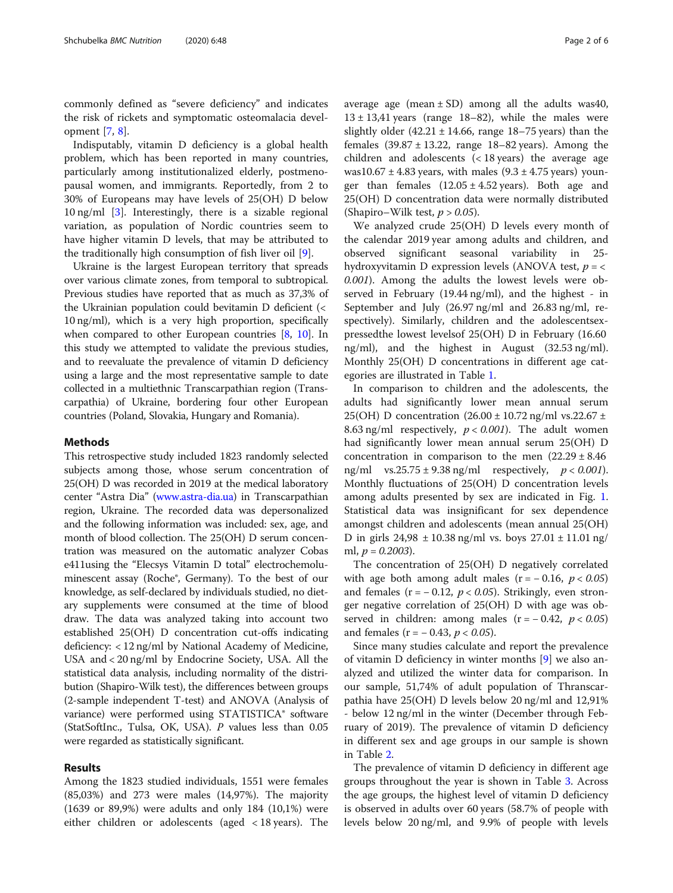commonly defined as "severe deficiency" and indicates the risk of rickets and symptomatic osteomalacia development [\[7](#page-5-0), [8](#page-5-0)].

Indisputably, vitamin D deficiency is a global health problem, which has been reported in many countries, particularly among institutionalized elderly, postmenopausal women, and immigrants. Reportedly, from 2 to 30% of Europeans may have levels of 25(OH) D below 10 ng/ml [[3\]](#page-5-0). Interestingly, there is a sizable regional variation, as population of Nordic countries seem to have higher vitamin D levels, that may be attributed to the traditionally high consumption of fish liver oil [\[9](#page-5-0)].

Ukraine is the largest European territory that spreads over various climate zones, from temporal to subtropical. Previous studies have reported that as much as 37,3% of the Ukrainian population could bevitamin D deficient (< 10 ng/ml), which is a very high proportion, specifically when compared to other European countries [[8,](#page-5-0) [10\]](#page-5-0). In this study we attempted to validate the previous studies, and to reevaluate the prevalence of vitamin D deficiency using a large and the most representative sample to date collected in a multiethnic Transcarpathian region (Transcarpathia) of Ukraine, bordering four other European countries (Poland, Slovakia, Hungary and Romania).

#### Methods

This retrospective study included 1823 randomly selected subjects among those, whose serum concentration of 25(OH) D was recorded in 2019 at the medical laboratory center "Astra Dia" [\(www.astra-dia.ua\)](http://www.astra-dia.ua) in Transcarpathian region, Ukraine. The recorded data was depersonalized and the following information was included: sex, age, and month of blood collection. The 25(OH) D serum concentration was measured on the automatic analyzer Cobas e411using the "Elecsys Vitamin D total" electrochemoluminescent assay (Roche®, Germany). To the best of our knowledge, as self-declared by individuals studied, no dietary supplements were consumed at the time of blood draw. The data was analyzed taking into account two established 25(OH) D concentration cut-offs indicating deficiency: < 12 ng/ml by National Academy of Medicine, USA and < 20 ng/ml by Endocrine Society, USA. All the statistical data analysis, including normality of the distribution (Shapiro-Wilk test), the differences between groups (2-sample independent T-test) and ANOVA (Analysis of variance) were performed using STATISTICA® software (StatSoftInc., Tulsa, OK, USA). P values less than 0.05 were regarded as statistically significant.

### Results

Among the 1823 studied individuals, 1551 were females (85,03%) and 273 were males (14,97%). The majority (1639 or 89,9%) were adults and only 184 (10,1%) were either children or adolescents (aged < 18 years). The average age (mean  $\pm$  SD) among all the adults was40,  $13 \pm 13,41$  years (range 18–82), while the males were slightly older  $(42.21 \pm 14.66, \text{ range } 18-75 \text{ years})$  than the females  $(39.87 \pm 13.22, \text{ range } 18-82 \text{ years})$ . Among the children and adolescents  $(< 18$  years) the average age was10.67  $\pm$  4.83 years, with males (9.3  $\pm$  4.75 years) younger than females  $(12.05 \pm 4.52 \text{ years})$ . Both age and 25(OH) D concentration data were normally distributed (Shapiro–Wilk test,  $p > 0.05$ ).

We analyzed crude 25(ОН) D levels every month of the calendar 2019 year among adults and children, and observed significant seasonal variability in 25 hydroxyvitamin D expression levels (ANOVA test,  $p = \langle$ 0.001). Among the adults the lowest levels were observed in February (19.44 ng/ml), and the highest - in September and July (26.97 ng/ml and 26.83 ng/ml, respectively). Similarly, children and the adolescentsexpressedthe lowest levelsof 25(ОН) D in February (16.60 ng/ml), and the highest in August (32.53 ng/ml). Monthly 25(OH) D concentrations in different age categories are illustrated in Table [1](#page-2-0).

In comparison to children and the adolescents, the adults had significantly lower mean annual serum 25(OH) D concentration  $(26.00 \pm 10.72 \text{ ng/ml vs.} 22.67 \pm 10.72 \text{ mg/ml vs.} 22.67 \pm 10.72 \text{ mg/ml vs.} 22.67 \pm 10.72 \text{ mg/ml vs.} 22.67 \pm 10.72 \text{ mg/ml vs.} 22.67 \pm 10.72 \text{ mg/ml vs.} 22.67 \pm 10.72 \text{ mg/ml vs.} 22.67 \pm 10.72 \text{ mg/ml vs.} 22.67 \pm 10.72 \text{ mg/ml vs.$ 8.63 ng/ml respectively,  $p < 0.001$ ). The adult women had significantly lower mean annual serum 25(OH) D concentration in comparison to the men  $(22.29 \pm 8.46)$ ng/ml vs.25.75  $\pm$  9.38 ng/ml respectively,  $p < 0.001$ ). Monthly fluctuations of 25(OH) D concentration levels among adults presented by sex are indicated in Fig. [1](#page-2-0). Statistical data was insignificant for sex dependence amongst children and adolescents (mean annual 25(OH) D in girls  $24,98 \pm 10.38$  ng/ml vs. boys  $27.01 \pm 11.01$  ng/ ml,  $p = 0.2003$ ).

The concentration of 25(OH) D negatively correlated with age both among adult males ( $r = -0.16$ ,  $p < 0.05$ ) and females ( $r = -0.12$ ,  $p < 0.05$ ). Strikingly, even stronger negative correlation of 25(OH) D with age was observed in children: among males  $(r = -0.42, p < 0.05)$ and females ( $r = -0.43$ ,  $p < 0.05$ ).

Since many studies calculate and report the prevalence of vitamin D deficiency in winter months [[9\]](#page-5-0) we also analyzed and utilized the winter data for comparison. In our sample, 51,74% of adult population of Thranscarpathia have 25(OH) D levels below 20 ng/ml and 12,91% - below 12 ng/ml in the winter (December through February of 2019). The prevalence of vitamin D deficiency in different sex and age groups in our sample is shown in Table [2.](#page-3-0)

The prevalence of vitamin D deficiency in different age groups throughout the year is shown in Table [3](#page-3-0). Across the age groups, the highest level of vitamin D deficiency is observed in adults over 60 years (58.7% of people with levels below 20 ng/ml, and 9.9% of people with levels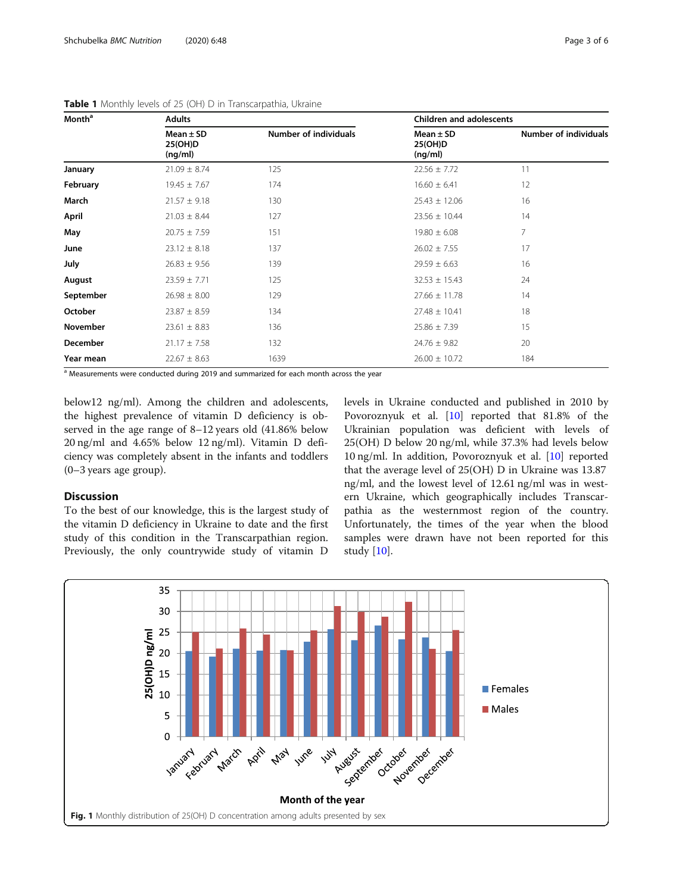| <b>Month<sup>a</sup></b> | <b>Adults</b>                       |                       | <b>Children and adolescents</b>     |                              |  |  |
|--------------------------|-------------------------------------|-----------------------|-------------------------------------|------------------------------|--|--|
|                          | Mean $\pm$ SD<br>25(OH)D<br>(ng/ml) | Number of individuals | Mean $\pm$ SD<br>25(OH)D<br>(ng/ml) | <b>Number of individuals</b> |  |  |
| January                  | $21.09 \pm 8.74$                    | 125                   | $22.56 \pm 7.72$                    | 11                           |  |  |
| February                 | $19.45 \pm 7.67$                    | 174                   | $16.60 \pm 6.41$                    | 12                           |  |  |
| March                    | $21.57 \pm 9.18$                    | 130                   | $25.43 \pm 12.06$                   | 16                           |  |  |
| April                    | $21.03 \pm 8.44$                    | 127                   | $23.56 \pm 10.44$                   | 14                           |  |  |
| May                      | $20.75 \pm 7.59$                    | 151                   | $19.80 \pm 6.08$                    | $\overline{7}$               |  |  |
| June                     | $23.12 \pm 8.18$                    | 137                   | $26.02 \pm 7.55$                    | 17                           |  |  |
| July                     | $26.83 \pm 9.56$                    | 139                   | $29.59 \pm 6.63$                    | 16                           |  |  |
| August                   | $23.59 \pm 7.71$                    | 125                   | $32.53 \pm 15.43$                   | 24                           |  |  |
| September                | $26.98 \pm 8.00$                    | 129                   | $27.66 \pm 11.78$                   | 14                           |  |  |
| October                  | $23.87 \pm 8.59$                    | 134                   | $27.48 \pm 10.41$                   | 18                           |  |  |
| <b>November</b>          | $23.61 \pm 8.83$                    | 136                   | $25.86 \pm 7.39$                    | 15                           |  |  |
| December                 | $21.17 \pm 7.58$                    | 132                   | $24.76 \pm 9.82$                    | 20                           |  |  |
| Year mean                | $22.67 \pm 8.63$                    | 1639                  | $26.00 \pm 10.72$                   | 184                          |  |  |

<span id="page-2-0"></span>Table 1 Monthly levels of 25 (OH) D in Transcarpathia, Ukraine

<sup>a</sup> Measurements were conducted during 2019 and summarized for each month across the year

below12 ng/ml). Among the children and adolescents, the highest prevalence of vitamin D deficiency is observed in the age range of 8–12 years old (41.86% below 20 ng/ml and 4.65% below 12 ng/ml). Vitamin D deficiency was completely absent in the infants and toddlers (0–3 years age group).

### **Discussion**

To the best of our knowledge, this is the largest study of the vitamin D deficiency in Ukraine to date and the first study of this condition in the Transcarpathian region. Previously, the only countrywide study of vitamin D

levels in Ukraine conducted and published in 2010 by Povoroznyuk et al. [\[10](#page-5-0)] reported that 81.8% of the Ukrainian population was deficient with levels of 25(OH) D below 20 ng/ml, while 37.3% had levels below 10 ng/ml. In addition, Povoroznyuk et al. [\[10](#page-5-0)] reported that the average level of 25(OH) D in Ukraine was 13.87 ng/ml, and the lowest level of 12.61 ng/ml was in western Ukraine, which geographically includes Transcarpathia as the westernmost region of the country. Unfortunately, the times of the year when the blood samples were drawn have not been reported for this study [[10\]](#page-5-0).

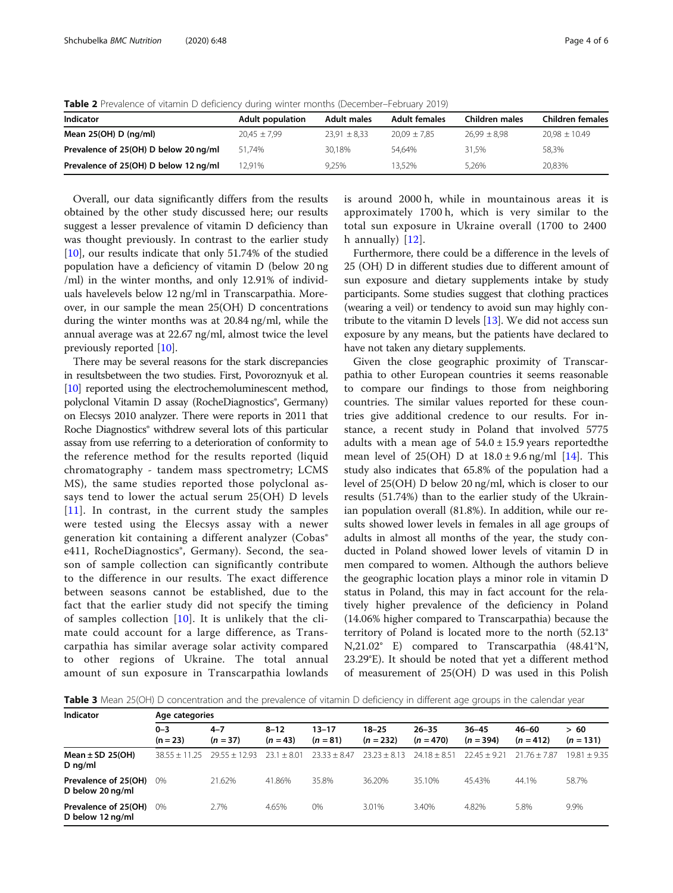<span id="page-3-0"></span>Table 2 Prevalence of vitamin D deficiency during winter months (December–February 2019)

| Indicator                             | <b>Adult population</b> | <b>Adult males</b> | <b>Adult females</b> | Children males   | <b>Children females</b> |
|---------------------------------------|-------------------------|--------------------|----------------------|------------------|-------------------------|
| Mean $25(OH)$ D (ng/ml)               | $20.45 \pm 7.99$        | $23.91 \pm 8.33$   | $20.09 \pm 7.85$     | $26.99 \pm 8.98$ | $20.98 \pm 10.49$       |
| Prevalence of 25(OH) D below 20 ng/ml | 51.74%                  | 30.18%             | 54.64%               | 31.5%            | 58,3%                   |
| Prevalence of 25(OH) D below 12 ng/ml | 12.91%                  | 9.25%              | 13.52%               | 5.26%            | 20,83%                  |

Overall, our data significantly differs from the results obtained by the other study discussed here; our results suggest a lesser prevalence of vitamin D deficiency than was thought previously. In contrast to the earlier study [[10\]](#page-5-0), our results indicate that only 51.74% of the studied population have a deficiency of vitamin D (below 20 ng /ml) in the winter months, and only 12.91% of individuals havelevels below 12 ng/ml in Transcarpathia. Moreover, in our sample the mean 25(OH) D concentrations during the winter months was at 20.84 ng/ml, while the annual average was at 22.67 ng/ml, almost twice the level previously reported [\[10\]](#page-5-0).

There may be several reasons for the stark discrepancies in resultsbetween the two studies. First, Povoroznyuk et al. [[10](#page-5-0)] reported using the electrochemoluminescent method, polyclonal Vitamin D assay (RocheDiagnostics<sup>®</sup>, Germany) on Elecsys 2010 analyzer. There were reports in 2011 that Roche Diagnostics® withdrew several lots of this particular assay from use referring to a deterioration of conformity to the reference method for the results reported (liquid chromatography - tandem mass spectrometry; LCMS MS), the same studies reported those polyclonal assays tend to lower the actual serum 25(OH) D levels  $[11]$  $[11]$  $[11]$ . In contrast, in the current study the samples were tested using the Elecsys assay with a newer generation kit containing a different analyzer (Cobas<sup>®</sup> e411, RocheDiagnostics<sup>®</sup>, Germany). Second, the season of sample collection can significantly contribute to the difference in our results. The exact difference between seasons cannot be established, due to the fact that the earlier study did not specify the timing of samples collection [[10](#page-5-0)]. It is unlikely that the climate could account for a large difference, as Transcarpathia has similar average solar activity compared to other regions of Ukraine. The total annual amount of sun exposure in Transcarpathia lowlands is around 2000 h, while in mountainous areas it is approximately 1700 h, which is very similar to the total sun exposure in Ukraine overall (1700 to 2400 h annually)  $[12]$  $[12]$ .

Furthermore, there could be a difference in the levels of 25 (OH) D in different studies due to different amount of sun exposure and dietary supplements intake by study participants. Some studies suggest that clothing practices (wearing a veil) or tendency to avoid sun may highly contribute to the vitamin D levels  $[13]$  $[13]$  $[13]$ . We did not access sun exposure by any means, but the patients have declared to have not taken any dietary supplements.

Given the close geographic proximity of Transcarpathia to other European countries it seems reasonable to compare our findings to those from neighboring countries. The similar values reported for these countries give additional credence to our results. For instance, a recent study in Poland that involved 5775 adults with a mean age of  $54.0 \pm 15.9$  years reported the mean level of  $25(OH)$  D at  $18.0 \pm 9.6$  ng/ml [[14](#page-5-0)]. This study also indicates that 65.8% of the population had a level of 25(OH) D below 20 ng/ml, which is closer to our results (51.74%) than to the earlier study of the Ukrainian population overall (81.8%). In addition, while our results showed lower levels in females in all age groups of adults in almost all months of the year, the study conducted in Poland showed lower levels of vitamin D in men compared to women. Although the authors believe the geographic location plays a minor role in vitamin D status in Poland, this may in fact account for the relatively higher prevalence of the deficiency in Poland (14.06% higher compared to Transcarpathia) because the territory of Poland is located more to the north (52.13° N,21.02° E) compared to Transcarpathia (48.41°N, 23.29°E). It should be noted that yet a different method of measurement of 25(OH) D was used in this Polish

Table 3 Mean 25(OH) D concentration and the prevalence of vitamin D deficiency in different age groups in the calendar year

| Indicator                                | Age categories        |                       |                        |                     |                          |                          |                          |                      |                    |
|------------------------------------------|-----------------------|-----------------------|------------------------|---------------------|--------------------------|--------------------------|--------------------------|----------------------|--------------------|
|                                          | $0 - 3$<br>$(n = 23)$ | $4 - 7$<br>$(n = 37)$ | $8 - 12$<br>$(n = 43)$ | 13–17<br>$(n = 81)$ | $18 - 25$<br>$(n = 232)$ | $26 - 35$<br>$(n = 470)$ | $36 - 45$<br>$(n = 394)$ | 46–60<br>$(n = 412)$ | >60<br>$(n = 131)$ |
| Mean $\pm$ SD 25(OH)<br>D $ng/ml$        | $3855 + 1125$         | $7955 + 1793$         | $+801$<br>231          | $7333 + 847$        | $23.23 + 8.13$           | $74.18 + 8.51$           | $2245 + 921$             | $2176 + 787$         | $19.81 + 9.35$     |
| Prevalence of 25(OH)<br>D below 20 ng/ml | $0\%$                 | 21.62%                | 41.86%                 | 35.8%               | 36.20%                   | 35.10%                   | 45.43%                   | 44.1%                | 58.7%              |
| Prevalence of 25(OH)<br>D below 12 ng/ml | $0\%$                 | 2.7%                  | 4.65%                  | 0%                  | 3.01%                    | 3.40%                    | 4.82%                    | 5.8%                 | 9.9%               |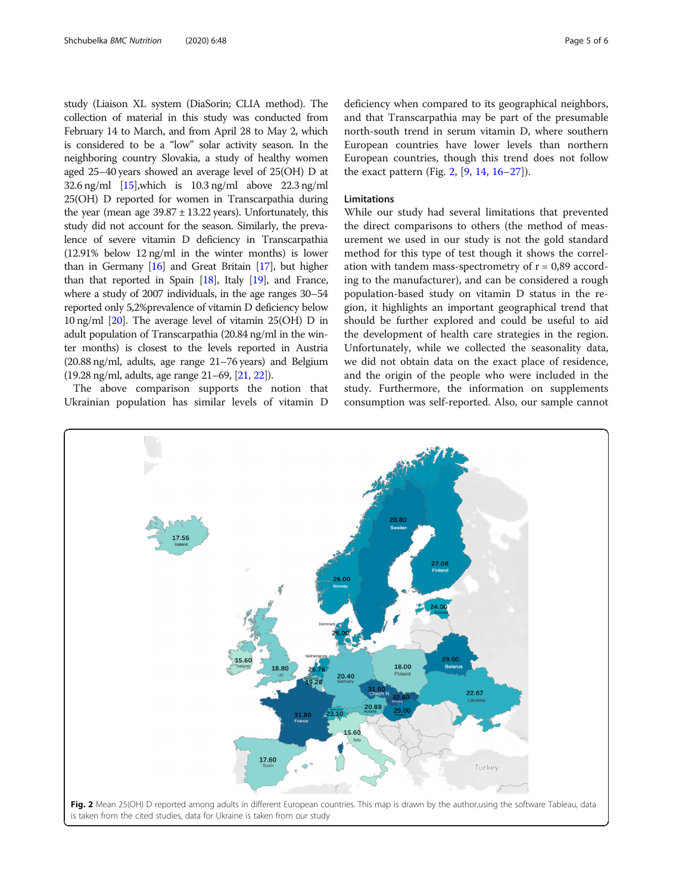study (Liaison XL system (DiaSorin; CLIA method). The collection of material in this study was conducted from February 14 to March, and from April 28 to May 2, which is considered to be a "low" solar activity season. In the neighboring country Slovakia, a study of healthy women aged 25–40 years showed an average level of 25(OH) D at 32.6 ng/ml [\[15\]](#page-5-0),which is 10.3 ng/ml above 22.3 ng/ml 25(OH) D reported for women in Transcarpathia during the year (mean age  $39.87 \pm 13.22$  years). Unfortunately, this study did not account for the season. Similarly, the prevalence of severe vitamin D deficiency in Transcarpathia (12.91% below 12 ng/ml in the winter months) is lower than in Germany  $[16]$  and Great Britain  $[17]$ , but higher than that reported in Spain [[18\]](#page-5-0), Italy [[19\]](#page-5-0), and France, where a study of 2007 individuals, in the age ranges 30–54 reported only 5,2%prevalence of vitamin D deficiency below 10 ng/ml [[20](#page-5-0)]. The average level of vitamin 25(OH) D in adult population of Transcarpathia (20.84 ng/ml in the winter months) is closest to the levels reported in Austria (20.88 ng/ml, adults, age range 21–76 years) and Belgium (19.28 ng/ml, adults, age range 21–69, [[21,](#page-5-0) [22\]](#page-5-0)).

The above comparison supports the notion that Ukrainian population has similar levels of vitamin D

deficiency when compared to its geographical neighbors, and that Transcarpathia may be part of the presumable north-south trend in serum vitamin D, where southern European countries have lower levels than northern European countries, though this trend does not follow the exact pattern (Fig. 2,  $[9, 14, 16-27]$  $[9, 14, 16-27]$  $[9, 14, 16-27]$  $[9, 14, 16-27]$  $[9, 14, 16-27]$  $[9, 14, 16-27]$  $[9, 14, 16-27]$  $[9, 14, 16-27]$  $[9, 14, 16-27]$ ).

#### Limitations

While our study had several limitations that prevented the direct comparisons to others (the method of measurement we used in our study is not the gold standard method for this type of test though it shows the correlation with tandem mass-spectrometry of  $r = 0.89$  according to the manufacturer), and can be considered a rough population-based study on vitamin D status in the region, it highlights an important geographical trend that should be further explored and could be useful to aid the development of health care strategies in the region. Unfortunately, while we collected the seasonality data, we did not obtain data on the exact place of residence, and the origin of the people who were included in the study. Furthermore, the information on supplements consumption was self-reported. Also, our sample cannot